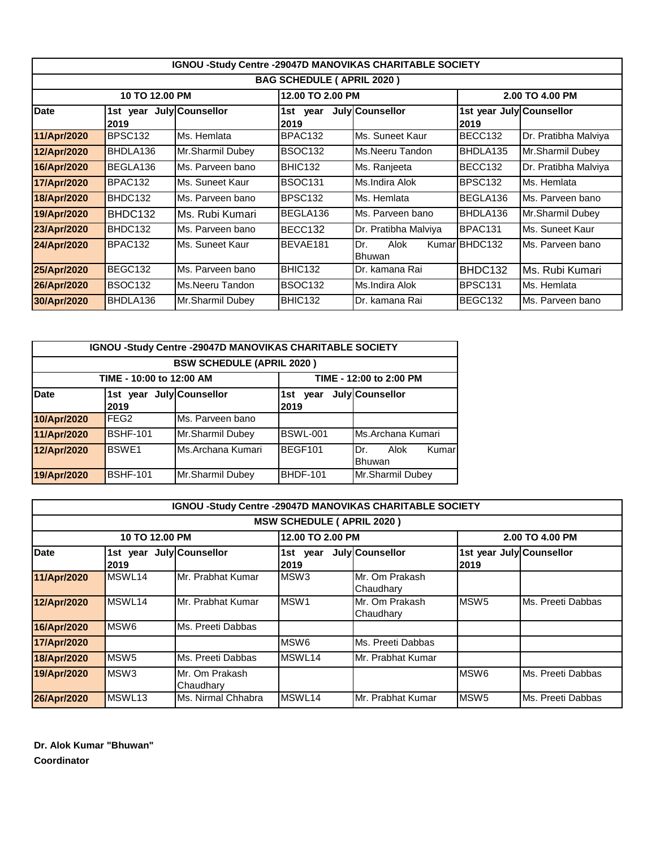| <b>IGNOU -Study Centre -29047D MANOVIKAS CHARITABLE SOCIETY</b> |                                  |                  |                     |                       |                                  |                      |  |  |
|-----------------------------------------------------------------|----------------------------------|------------------|---------------------|-----------------------|----------------------------------|----------------------|--|--|
| <b>BAG SCHEDULE ( APRIL 2020 )</b>                              |                                  |                  |                     |                       |                                  |                      |  |  |
|                                                                 | 10 TO 12.00 PM                   |                  | 12.00 TO 2.00 PM    |                       |                                  | 2.00 TO 4.00 PM      |  |  |
| <b>Date</b>                                                     | 1st year July Counsellor<br>2019 |                  | 1st year<br>2019    | July Counsellor       | 1st year July Counsellor<br>2019 |                      |  |  |
| 11/Apr/2020                                                     | BPSC <sub>132</sub>              | Ms. Hemlata      | BPAC132             | Ms. Suneet Kaur       | BECC132                          | Dr. Pratibha Malviya |  |  |
| 12/Apr/2020                                                     | BHDLA136                         | Mr.Sharmil Dubey | BSOC <sub>132</sub> | Ms.Neeru Tandon       | BHDLA135                         | Mr.Sharmil Dubey     |  |  |
| 16/Apr/2020                                                     | BEGLA136                         | Ms. Parveen bano | BHIC132             | Ms. Ranjeeta          | BECC132                          | Dr. Pratibha Malviya |  |  |
| 17/Apr/2020                                                     | BPAC132                          | Ms. Suneet Kaur  | <b>BSOC131</b>      | Ms.Indira Alok        | BPSC <sub>132</sub>              | Ms. Hemlata          |  |  |
| 18/Apr/2020                                                     | BHDC132                          | Ms. Parveen bano | BPSC <sub>132</sub> | Ms. Hemlata           | BEGLA136                         | Ms. Parveen bano     |  |  |
| 19/Apr/2020                                                     | BHDC132                          | Ms. Rubi Kumari  | BEGLA136            | Ms. Parveen bano      | BHDLA136                         | Mr.Sharmil Dubey     |  |  |
| 23/Apr/2020                                                     | BHDC132                          | Ms. Parveen bano | BECC132             | Dr. Pratibha Malviya  | BPAC131                          | Ms. Suneet Kaur      |  |  |
| 24/Apr/2020                                                     | BPAC132                          | Ms. Suneet Kaur  | BEVAE181            | Dr.<br>Alok<br>Bhuwan | KumarIBHDC132                    | Ms. Parveen bano     |  |  |
| 25/Apr/2020                                                     | BEGC132                          | Ms. Parveen bano | BHIC132             | Dr. kamana Rai        | BHDC132                          | Ms. Rubi Kumari      |  |  |
| 26/Apr/2020                                                     | <b>BSOC132</b>                   | Ms.Neeru Tandon  | <b>BSOC132</b>      | Ms.Indira Alok        | BPSC <sub>131</sub>              | Ms. Hemlata          |  |  |
| 30/Apr/2020                                                     | BHDLA136                         | Mr.Sharmil Dubey | BHIC132             | Dr. kamana Rai        | BEGC132                          | Ms. Parveen bano     |  |  |

|             | <b>IGNOU -Study Centre -29047D MANOVIKAS CHARITABLE SOCIETY</b> |                   |             |                                |  |  |  |  |  |
|-------------|-----------------------------------------------------------------|-------------------|-------------|--------------------------------|--|--|--|--|--|
|             | <b>BSW SCHEDULE (APRIL 2020)</b>                                |                   |             |                                |  |  |  |  |  |
|             | TIME - 10:00 to 12:00 AM<br>TIME - 12:00 to 2:00 PM             |                   |             |                                |  |  |  |  |  |
| <b>Date</b> | 1st year July Counsellor                                        |                   | 1st<br>vear | July Counsellor                |  |  |  |  |  |
|             | 2019                                                            |                   | 2019        |                                |  |  |  |  |  |
| 10/Apr/2020 | FEG <sub>2</sub>                                                | Ms. Parveen bano  |             |                                |  |  |  |  |  |
| 11/Apr/2020 | BSHF-101                                                        | Mr.Sharmil Dubey  | BSWL-001    | Ms.Archana Kumari              |  |  |  |  |  |
| 12/Apr/2020 | <b>BSWE1</b>                                                    | Ms.Archana Kumari | BEGF101     | Dr.<br>Alok<br>Kumar<br>Bhuwan |  |  |  |  |  |
| 19/Apr/2020 | <b>BSHF-101</b>                                                 | Mr.Sharmil Dubey  | BHDF-101    | Mr.Sharmil Dubey               |  |  |  |  |  |

|                                    | IGNOU -Study Centre -29047D MANOVIKAS CHARITABLE SOCIETY |                             |                      |                             |                                  |                   |  |  |
|------------------------------------|----------------------------------------------------------|-----------------------------|----------------------|-----------------------------|----------------------------------|-------------------|--|--|
| <b>MSW SCHEDULE ( APRIL 2020 )</b> |                                                          |                             |                      |                             |                                  |                   |  |  |
|                                    | 10 TO 12.00 PM                                           |                             | 12.00 TO 2.00 PM     |                             |                                  | 2.00 TO 4.00 PM   |  |  |
| <b>Date</b>                        | 1st year July Counsellor<br>2019                         |                             | 1st<br>vear<br> 2019 | July Counsellor             | 1st year July Counsellor<br>2019 |                   |  |  |
| 11/Apr/2020                        | MSWL14                                                   | Mr. Prabhat Kumar           | MSW <sub>3</sub>     | Mr. Om Prakash<br>Chaudhary |                                  |                   |  |  |
| 12/Apr/2020                        | MSWL14                                                   | Mr. Prabhat Kumar           | MSW <sub>1</sub>     | Mr. Om Prakash<br>Chaudhary | MSW <sub>5</sub>                 | Ms. Preeti Dabbas |  |  |
| 16/Apr/2020                        | MSW <sub>6</sub>                                         | Ms. Preeti Dabbas           |                      |                             |                                  |                   |  |  |
| 17/Apr/2020                        |                                                          |                             | MSW <sub>6</sub>     | Ms. Preeti Dabbas           |                                  |                   |  |  |
| 18/Apr/2020                        | MSW <sub>5</sub>                                         | Ms. Preeti Dabbas           | MSWL14               | Mr. Prabhat Kumar           |                                  |                   |  |  |
| 19/Apr/2020                        | MSW <sub>3</sub>                                         | Mr. Om Prakash<br>Chaudhary |                      |                             | MSW <sub>6</sub>                 | Ms. Preeti Dabbas |  |  |
| 26/Apr/2020                        | MSWL <sub>13</sub>                                       | Ms. Nirmal Chhabra          | MSWL <sub>14</sub>   | Mr. Prabhat Kumar           | <b>IMSW5</b>                     | Ms. Preeti Dabbas |  |  |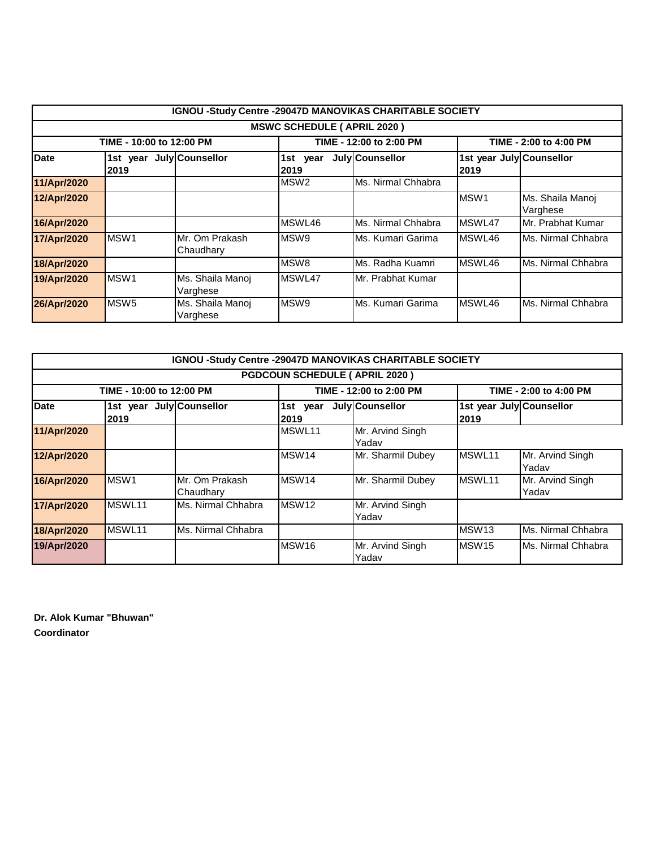|                                     | <b>IGNOU -Study Centre -29047D MANOVIKAS CHARITABLE SOCIETY</b> |                              |                     |                         |                                   |                              |  |  |
|-------------------------------------|-----------------------------------------------------------------|------------------------------|---------------------|-------------------------|-----------------------------------|------------------------------|--|--|
| <b>MSWC SCHEDULE ( APRIL 2020 )</b> |                                                                 |                              |                     |                         |                                   |                              |  |  |
|                                     | TIME - 10:00 to 12:00 PM                                        |                              |                     | TIME - 12:00 to 2:00 PM |                                   | TIME - 2:00 to 4:00 PM       |  |  |
| <b>Date</b>                         | 1st year July Counsellor<br> 2019                               |                              | 1st<br>year<br>2019 | July Counsellor         | 1st year July Counsellor<br>12019 |                              |  |  |
| 11/Apr/2020                         |                                                                 |                              | MSW <sub>2</sub>    | Ms. Nirmal Chhabra      |                                   |                              |  |  |
| 12/Apr/2020                         |                                                                 |                              |                     |                         | <b>IMSW1</b>                      | Ms. Shaila Manoj<br>Varghese |  |  |
| 16/Apr/2020                         |                                                                 |                              | MSWL46              | Ms. Nirmal Chhabra      | MSWL47                            | Mr. Prabhat Kumar            |  |  |
| 17/Apr/2020                         | MSW1                                                            | Mr. Om Prakash<br>Chaudhary  | MSW <sub>9</sub>    | Ms. Kumari Garima       | MSWL46                            | Ms. Nirmal Chhabra           |  |  |
| 18/Apr/2020                         |                                                                 |                              | MSW <sub>8</sub>    | Ms. Radha Kuamri        | MSWL46                            | Ms. Nirmal Chhabra           |  |  |
| 19/Apr/2020                         | MSW <sub>1</sub>                                                | Ms. Shaila Manoj<br>Varghese | MSWL47              | Mr. Prabhat Kumar       |                                   |                              |  |  |
| 26/Apr/2020                         | MSW <sub>5</sub>                                                | Ms. Shaila Manoj<br>Varghese | MSW <sub>9</sub>    | Ms. Kumari Garima       | MSWL46                            | Ms. Nirmal Chhabra           |  |  |

|             | <b>IGNOU -Study Centre -29047D MANOVIKAS CHARITABLE SOCIETY</b> |                             |                   |                           |                          |                           |  |  |  |
|-------------|-----------------------------------------------------------------|-----------------------------|-------------------|---------------------------|--------------------------|---------------------------|--|--|--|
|             | <b>PGDCOUN SCHEDULE ( APRIL 2020 )</b>                          |                             |                   |                           |                          |                           |  |  |  |
|             | TIME - 10:00 to 12:00 PM                                        |                             |                   | TIME - 12:00 to 2:00 PM   |                          | TIME - 2:00 to 4:00 PM    |  |  |  |
| <b>Date</b> | 1st year July Counsellor                                        |                             | 1st<br>year       | July Counsellor           | 1st year July Counsellor |                           |  |  |  |
|             | 2019                                                            |                             | 12019             |                           | 2019                     |                           |  |  |  |
| 11/Apr/2020 |                                                                 |                             | MSWL11            | Mr. Arvind Singh<br>Yadav |                          |                           |  |  |  |
| 12/Apr/2020 |                                                                 |                             | MSW <sub>14</sub> | Mr. Sharmil Dubey         | <b>IMSWL11</b>           | Mr. Arvind Singh<br>Yadav |  |  |  |
| 16/Apr/2020 | MSW1                                                            | Mr. Om Prakash<br>Chaudhary | MSW <sub>14</sub> | Mr. Sharmil Dubey         | MSWL <sub>11</sub>       | Mr. Arvind Singh<br>Yadav |  |  |  |
| 17/Apr/2020 | MSWL11                                                          | Ms. Nirmal Chhabra          | MSW <sub>12</sub> | Mr. Arvind Singh<br>Yadav |                          |                           |  |  |  |
| 18/Apr/2020 | MSWL11                                                          | Ms. Nirmal Chhabra          |                   |                           | MSW <sub>13</sub>        | Ms. Nirmal Chhabra        |  |  |  |
| 19/Apr/2020 |                                                                 |                             | MSW <sub>16</sub> | Mr. Arvind Singh<br>Yadav | MSW <sub>15</sub>        | Ms. Nirmal Chhabra        |  |  |  |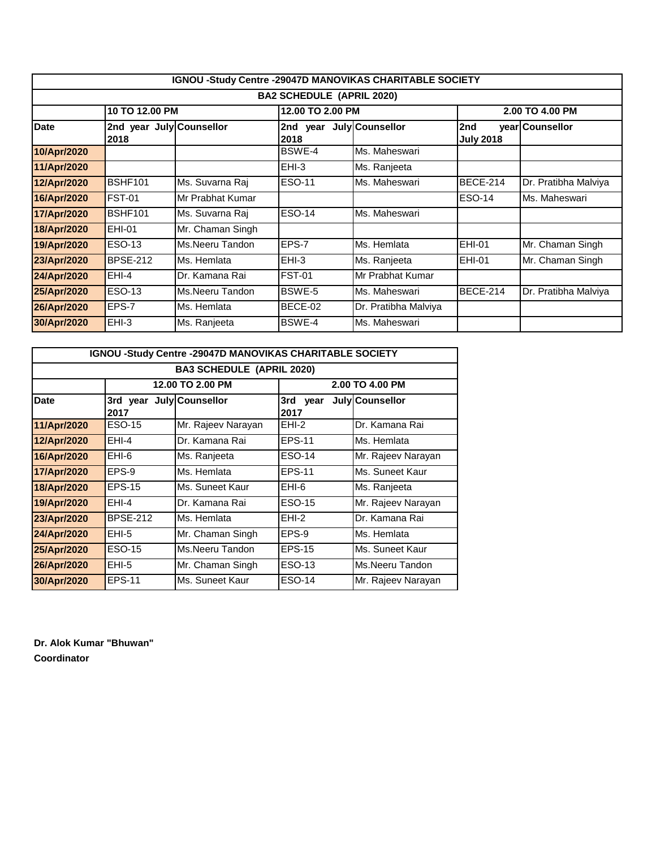|                                  | <b>IGNOU -Study Centre -29047D MANOVIKAS CHARITABLE SOCIETY</b> |                  |                  |                      |                         |                      |  |  |
|----------------------------------|-----------------------------------------------------------------|------------------|------------------|----------------------|-------------------------|----------------------|--|--|
| <b>BA2 SCHEDULE (APRIL 2020)</b> |                                                                 |                  |                  |                      |                         |                      |  |  |
|                                  | 10 TO 12.00 PM                                                  |                  | 12.00 TO 2.00 PM |                      |                         | 2.00 TO 4.00 PM      |  |  |
| <b>Date</b>                      | 2nd year July Counsellor<br>2018                                |                  | 2nd<br>2018      | year July Counsellor | 2nd<br><b>July 2018</b> | year Counsellor      |  |  |
| 10/Apr/2020                      |                                                                 |                  | BSWE-4           | Ms. Maheswari        |                         |                      |  |  |
| 11/Apr/2020                      |                                                                 |                  | $EHI-3$          | Ms. Ranjeeta         |                         |                      |  |  |
| 12/Apr/2020                      | BSHF101                                                         | Ms. Suvarna Raj  | <b>ESO-11</b>    | Ms. Maheswari        | BECE-214                | Dr. Pratibha Malviya |  |  |
| 16/Apr/2020                      | FST-01                                                          | Mr Prabhat Kumar |                  |                      | <b>ESO-14</b>           | Ms. Maheswari        |  |  |
| 17/Apr/2020                      | <b>BSHF101</b>                                                  | Ms. Suvarna Raj  | <b>ESO-14</b>    | Ms. Maheswari        |                         |                      |  |  |
| 18/Apr/2020                      | EHI-01                                                          | Mr. Chaman Singh |                  |                      |                         |                      |  |  |
| 19/Apr/2020                      | <b>ESO-13</b>                                                   | Ms.Neeru Tandon  | EPS-7            | Ms. Hemlata          | <b>EHI-01</b>           | Mr. Chaman Singh     |  |  |
| 23/Apr/2020                      | <b>BPSE-212</b>                                                 | Ms. Hemlata      | $EHI-3$          | Ms. Ranjeeta         | <b>EHI-01</b>           | Mr. Chaman Singh     |  |  |
| 24/Apr/2020                      | EHI-4                                                           | Dr. Kamana Rai   | <b>FST-01</b>    | Mr Prabhat Kumar     |                         |                      |  |  |
| 25/Apr/2020                      | ESO-13                                                          | Ms.Neeru Tandon  | BSWE-5           | Ms. Maheswari        | BECE-214                | Dr. Pratibha Malviya |  |  |
| 26/Apr/2020                      | EPS-7                                                           | Ms. Hemlata      | BECE-02          | Dr. Pratibha Malviya |                         |                      |  |  |
| 30/Apr/2020                      | EHI-3                                                           | Ms. Ranjeeta     | BSWE-4           | Ms. Maheswari        |                         |                      |  |  |

| <b>IGNOU -Study Centre -29047D MANOVIKAS CHARITABLE SOCIETY</b> |                                                         |                    |                 |                    |  |  |  |  |  |
|-----------------------------------------------------------------|---------------------------------------------------------|--------------------|-----------------|--------------------|--|--|--|--|--|
| <b>BA3 SCHEDULE (APRIL 2020)</b>                                |                                                         |                    |                 |                    |  |  |  |  |  |
|                                                                 |                                                         | 12.00 TO 2.00 PM   |                 | 2.00 TO 4.00 PM    |  |  |  |  |  |
| Date                                                            | July Counsellor<br>3rd year<br>3rd year<br>2017<br>2017 |                    | July Counsellor |                    |  |  |  |  |  |
| 11/Apr/2020                                                     | ESO-15                                                  | Mr. Rajeev Narayan | EHI-2           | Dr. Kamana Rai     |  |  |  |  |  |
| 12/Apr/2020                                                     | EHI-4                                                   | Dr. Kamana Rai     | <b>EPS-11</b>   | Ms. Hemlata        |  |  |  |  |  |
| 16/Apr/2020                                                     | EHI-6                                                   | Ms. Ranjeeta       | ESO-14          | Mr. Rajeev Narayan |  |  |  |  |  |
| 17/Apr/2020                                                     | EPS-9                                                   | Ms. Hemlata        | EPS-11          | Ms. Suneet Kaur    |  |  |  |  |  |
| 18/Apr/2020                                                     | <b>EPS-15</b>                                           | Ms. Suneet Kaur    | EHI-6           | Ms. Ranjeeta       |  |  |  |  |  |
| 19/Apr/2020                                                     | EHI-4                                                   | Dr. Kamana Rai     | ESO-15          | Mr. Rajeev Narayan |  |  |  |  |  |
| 23/Apr/2020                                                     | <b>BPSE-212</b>                                         | Ms. Hemlata        | EHI-2           | Dr. Kamana Rai     |  |  |  |  |  |
| 24/Apr/2020                                                     | EHI-5                                                   | Mr. Chaman Singh   | EPS-9           | Ms. Hemlata        |  |  |  |  |  |
| 25/Apr/2020                                                     | ESO-15                                                  | Ms.Neeru Tandon    | <b>EPS-15</b>   | Ms. Suneet Kaur    |  |  |  |  |  |
| 26/Apr/2020                                                     | EHI-5                                                   | Mr. Chaman Singh   | ESO-13          | Ms.Neeru Tandon    |  |  |  |  |  |
| 30/Apr/2020                                                     | <b>EPS-11</b>                                           | Ms. Suneet Kaur    | ESO-14          | Mr. Rajeev Narayan |  |  |  |  |  |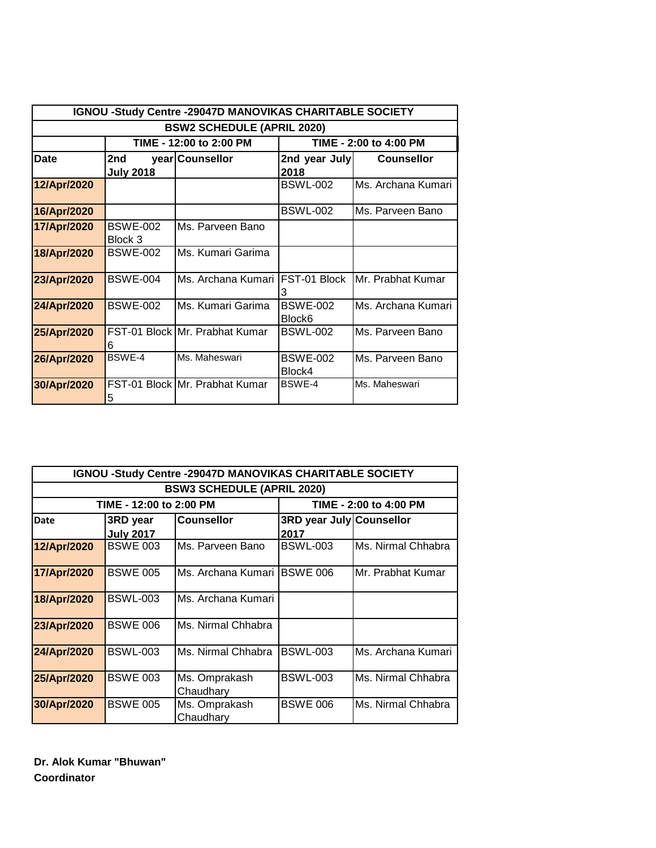|             |                                                   | IGNOU -Study Centre -29047D MANOVIKAS CHARITABLE SOCIETY |                                       |                    |  |  |  |  |  |
|-------------|---------------------------------------------------|----------------------------------------------------------|---------------------------------------|--------------------|--|--|--|--|--|
|             |                                                   | <b>BSW2 SCHEDULE (APRIL 2020)</b>                        |                                       |                    |  |  |  |  |  |
|             | TIME - 12:00 to 2:00 PM<br>TIME - 2:00 to 4:00 PM |                                                          |                                       |                    |  |  |  |  |  |
| Date        | 2nd<br><b>July 2018</b>                           | year Counsellor                                          | 2nd year July<br>2018                 | <b>Counsellor</b>  |  |  |  |  |  |
| 12/Apr/2020 |                                                   |                                                          | <b>BSWL-002</b>                       | Ms. Archana Kumari |  |  |  |  |  |
| 16/Apr/2020 |                                                   |                                                          | <b>BSWL-002</b>                       | Ms. Parveen Bano   |  |  |  |  |  |
| 17/Apr/2020 | <b>BSWE-002</b><br>Block 3                        | Ms. Parveen Bano                                         |                                       |                    |  |  |  |  |  |
| 18/Apr/2020 | <b>BSWE-002</b>                                   | Ms. Kumari Garima                                        |                                       |                    |  |  |  |  |  |
| 23/Apr/2020 | <b>BSWE-004</b>                                   | Ms. Archana Kumari                                       | FST-01 Block<br>З                     | Mr. Prabhat Kumar  |  |  |  |  |  |
| 24/Apr/2020 | <b>BSWE-002</b>                                   | Ms. Kumari Garima                                        | <b>BSWE-002</b><br>Block <sub>6</sub> | Ms. Archana Kumari |  |  |  |  |  |
| 25/Apr/2020 | 6                                                 | FST-01 Block Mr. Prabhat Kumar                           | <b>BSWL-002</b>                       | Ms. Parveen Bano   |  |  |  |  |  |
| 26/Apr/2020 | BSWF-4                                            | Ms. Maheswari                                            | <b>BSWE-002</b><br>Block4             | Ms. Parveen Bano   |  |  |  |  |  |
| 30/Apr/2020 | 5                                                 | FST-01 Block Mr. Prabhat Kumar                           | <b>BSWF-4</b>                         | Ms. Maheswari      |  |  |  |  |  |

| IGNOU -Study Centre -29047D MANOVIKAS CHARITABLE SOCIETY |                                   |                            |                          |                        |  |  |  |  |  |  |
|----------------------------------------------------------|-----------------------------------|----------------------------|--------------------------|------------------------|--|--|--|--|--|--|
|                                                          | <b>BSW3 SCHEDULE (APRIL 2020)</b> |                            |                          |                        |  |  |  |  |  |  |
|                                                          | TIME - 12:00 to 2:00 PM           |                            |                          | TIME - 2:00 to 4:00 PM |  |  |  |  |  |  |
| <b>Date</b>                                              | 3RD year                          | <b>Counsellor</b>          | 3RD year July Counsellor |                        |  |  |  |  |  |  |
|                                                          | <b>July 2017</b>                  |                            | 2017                     |                        |  |  |  |  |  |  |
| 12/Apr/2020                                              | <b>BSWE 003</b>                   | Ms. Parveen Bano           | <b>BSWL-003</b>          | Ms. Nirmal Chhabra     |  |  |  |  |  |  |
| 17/Apr/2020                                              | <b>BSWE 005</b>                   | IMs. Archana Kumari        | <b>BSWE 006</b>          | Mr. Prabhat Kumar      |  |  |  |  |  |  |
| 18/Apr/2020                                              | <b>BSWL-003</b>                   | Ms. Archana Kumari         |                          |                        |  |  |  |  |  |  |
| 23/Apr/2020                                              | <b>BSWE 006</b>                   | Ms. Nirmal Chhabra         |                          |                        |  |  |  |  |  |  |
| 24/Apr/2020                                              | <b>BSWL-003</b>                   | Ms. Nirmal Chhabra         | <b>BSWL-003</b>          | Ms. Archana Kumari     |  |  |  |  |  |  |
| 25/Apr/2020                                              | <b>BSWE 003</b>                   | Ms. Omprakash<br>Chaudhary | <b>BSWL-003</b>          | Ms. Nirmal Chhabra     |  |  |  |  |  |  |
| 30/Apr/2020                                              | <b>BSWE 005</b>                   | Ms. Omprakash<br>Chaudhary | <b>BSWE 006</b>          | Ms. Nirmal Chhabra     |  |  |  |  |  |  |